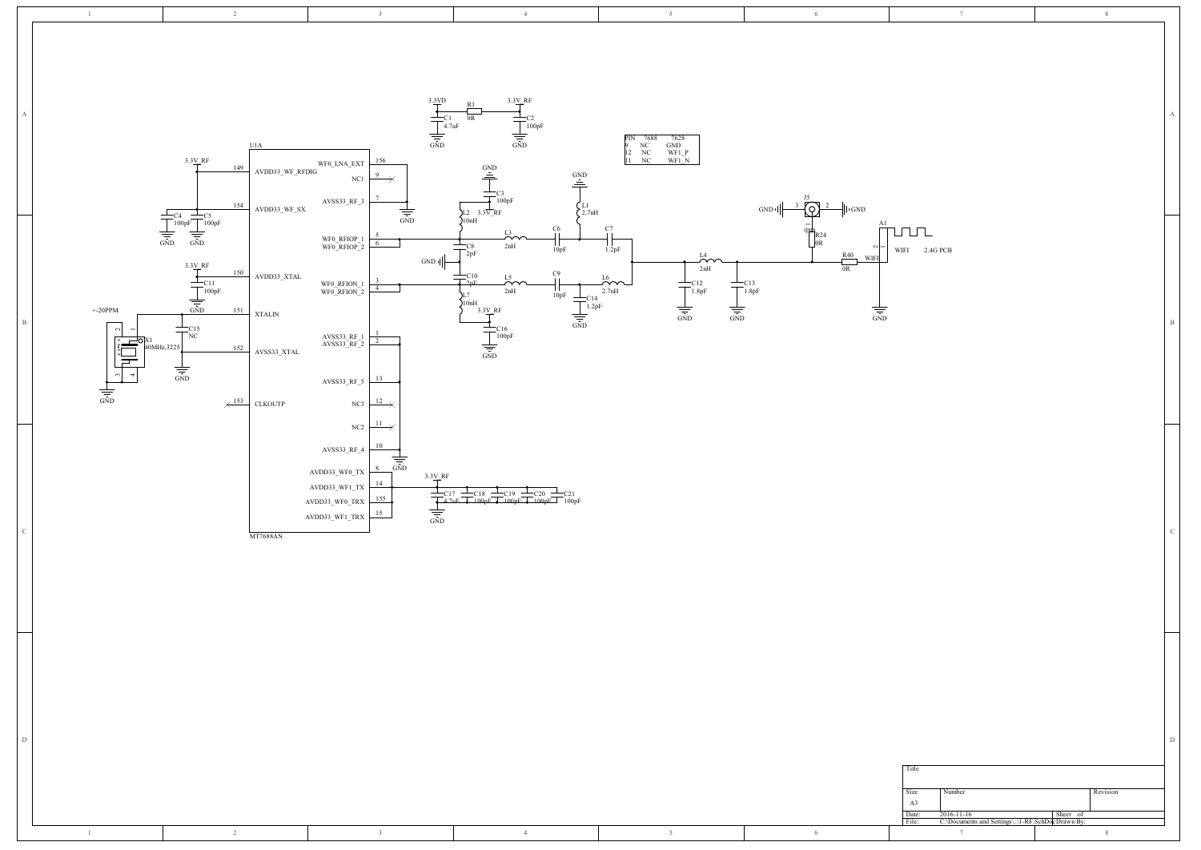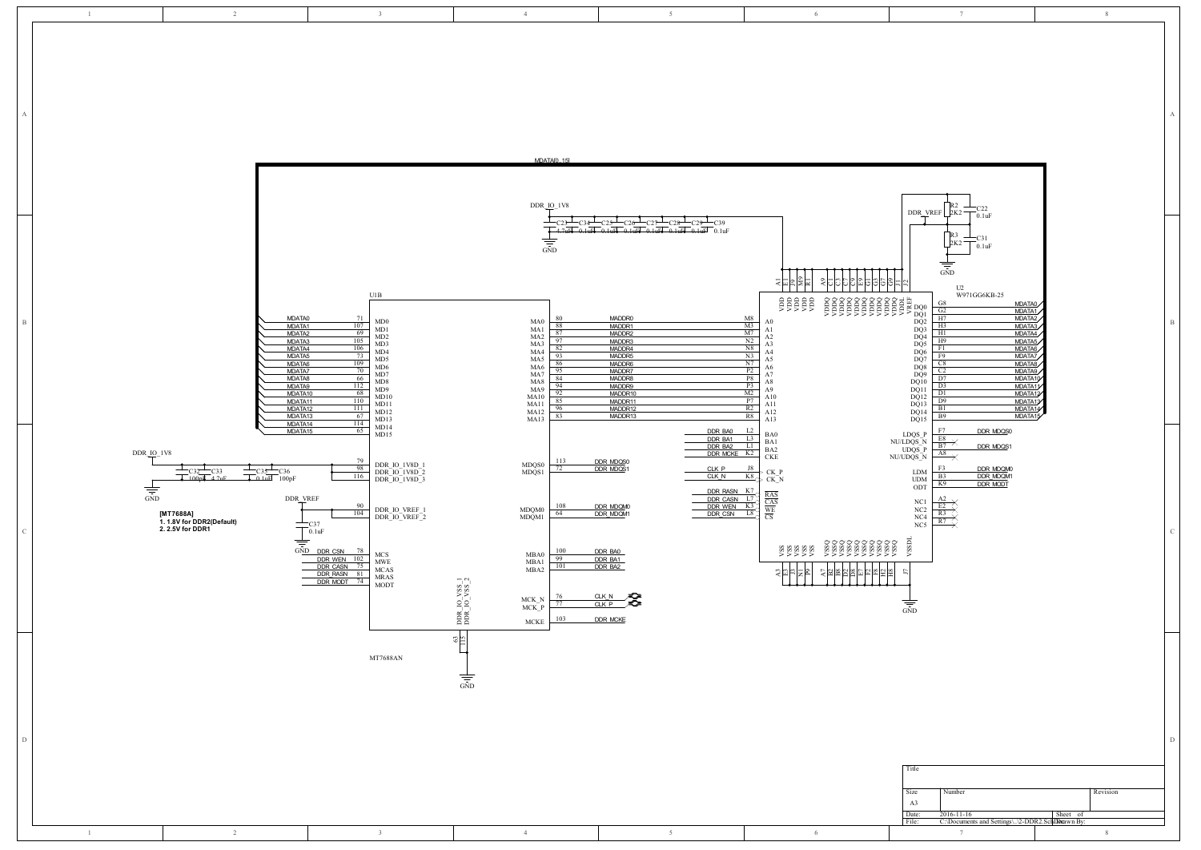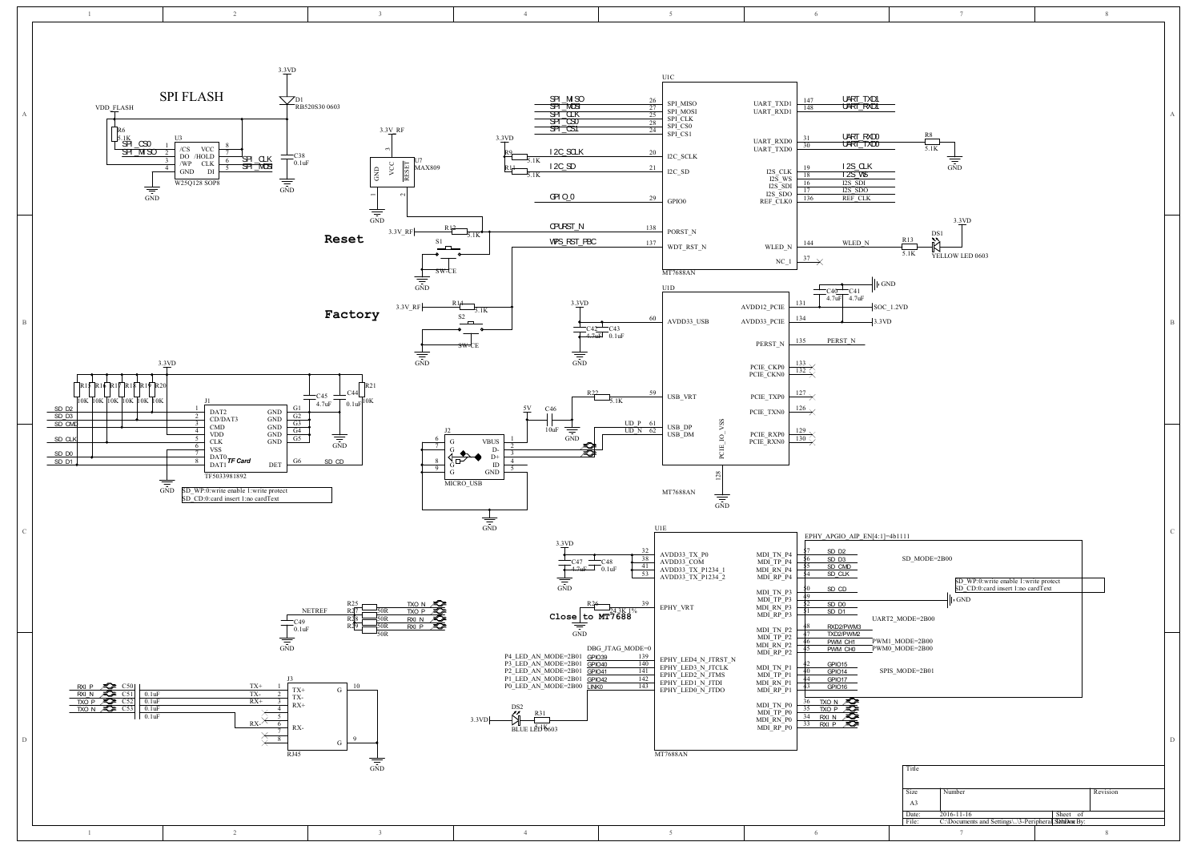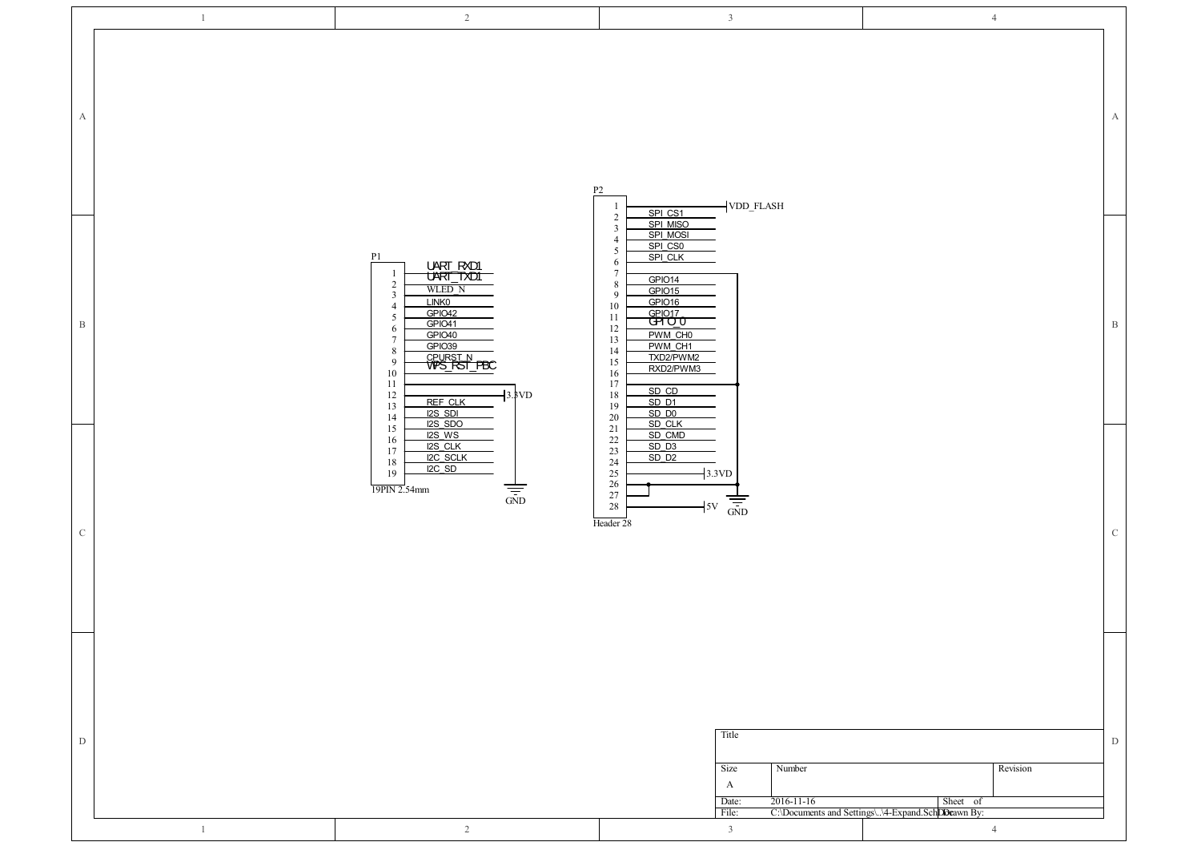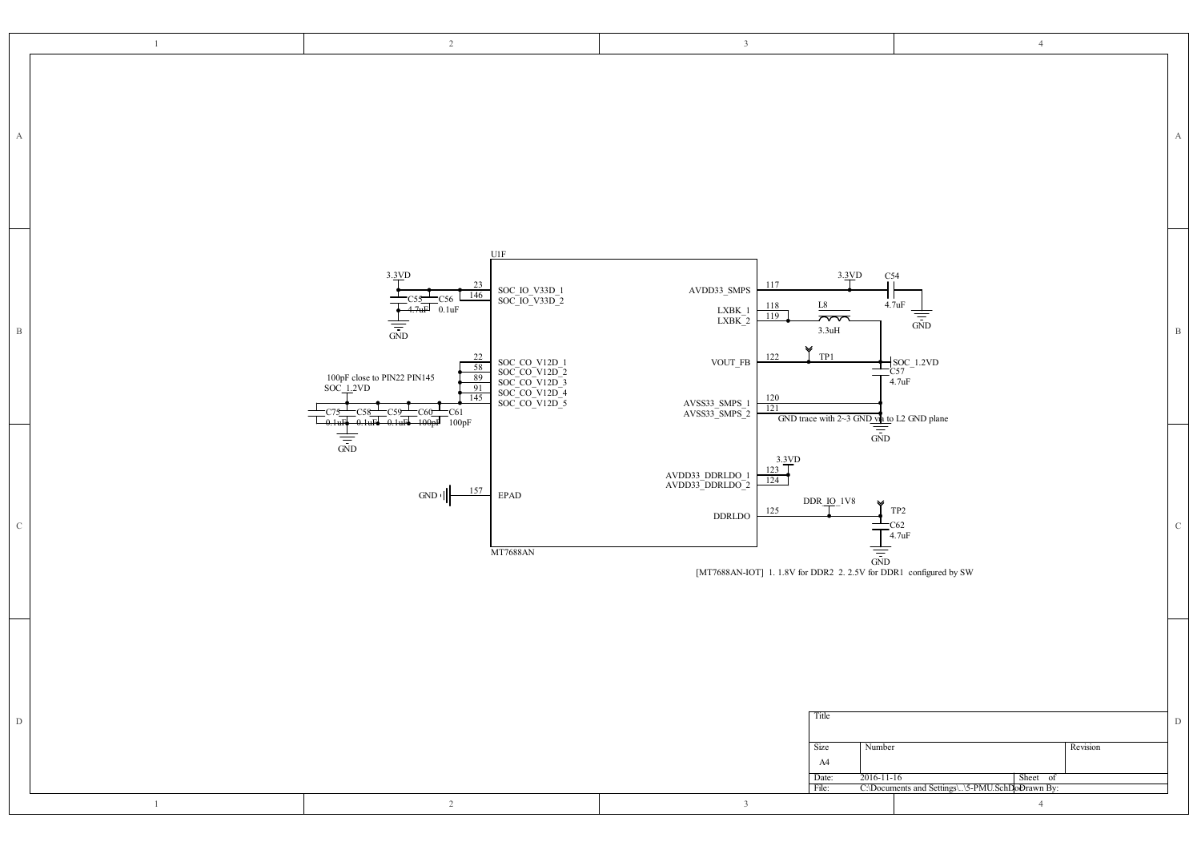|              | $\mathbf{1}$ | $\overline{2}$                                                                                                                                                                                                                                                                                                                            | $\overline{3}$                                                                                                                                                                                                                                                                                                                                             | $\overline{4}$                                                                                                                                                                                                                                                                                                                                                                                                                                                                                                                          |               |
|--------------|--------------|-------------------------------------------------------------------------------------------------------------------------------------------------------------------------------------------------------------------------------------------------------------------------------------------------------------------------------------------|------------------------------------------------------------------------------------------------------------------------------------------------------------------------------------------------------------------------------------------------------------------------------------------------------------------------------------------------------------|-----------------------------------------------------------------------------------------------------------------------------------------------------------------------------------------------------------------------------------------------------------------------------------------------------------------------------------------------------------------------------------------------------------------------------------------------------------------------------------------------------------------------------------------|---------------|
| $\mathbf{A}$ |              |                                                                                                                                                                                                                                                                                                                                           |                                                                                                                                                                                                                                                                                                                                                            |                                                                                                                                                                                                                                                                                                                                                                                                                                                                                                                                         | А             |
| $\,$ B       |              | <b>U1F</b><br>3.3VD<br>23<br>SOC_IO_V33D_1<br>SOC_IO_V33D_2<br>146<br>$_{0.1uF}^{-C56}$<br>4.7uF<br>$\frac{1}{\sqrt{1-\frac{1}{2}}}$<br>$\frac{22}{58}$<br>SOC_CO_V12D_1<br>SOC_CO_V12D_2<br>SOC_CO_V12D_3<br>SOC_CO_V12D_4<br>SOC_CO_V12D_5<br>100pF close to PIN22 PIN145<br>SOC_1.2VD<br>91<br>145<br>C61<br>100 <sub>n</sub><br>100pF | 3.3VD<br>117<br>$\mathrm{AVDD33}\_\mathrm{SMPS}$<br>$\frac{118}{119}$<br>L8<br>$\substack{\text{LXBK\_1}\text{LXBK\_2}}$<br>$\widetilde{\phantom{m}}$<br>$3.3uH$<br>v<br>TP1<br>122<br>$\,$ VOUT_FB<br>$\frac{120}{121}$<br>$\frac{\text{AVSS33\_SMPS\_1}}{\text{AVSS33\_SMPS\_2}}$                                                                        | $\frac{C54}{11}$<br>ıг<br>4.7 <sub>u</sub> F<br>$\frac{1}{\frac{1}{\sin D}}$<br>$\frac{{\color{red}\mathsf{SOC}}_1!2\mathsf{VD}}{\mathsf{CS7}}\n\begin{array}{c}\n\mathsf{SOC}\n\end{array}\n\qquad\n\begin{array}{c}\n\mathsf{1.2VD} \\ \mathsf{4.7uF}\n\end{array}\n\qquad\n\begin{array}{c}\n\mathsf{SOC}\n\end{array}\n\qquad\n\begin{array}{c}\n\mathsf{SOC}\n\end{array}\n\qquad\n\begin{array}{c}\n\mathsf{SOC}\n\end{array}\n\qquad\n\begin{array}{c}\n\mathsf{SOC}\n\end{array}\n\qquad\n\begin{array}{c}\n\mathsf{SOC}\n\end$ | B             |
| ${\rm C}$    |              | $\frac{1}{\sin \theta}$<br>157<br>GND<br>$\ensuremath{\mathrm{EPAD}}$<br><b>MT7688AN</b>                                                                                                                                                                                                                                                  | GND trace with $2\text{-}3$ GND that to L2 GND plane<br>GND<br>$\frac{3.3VD}{123}$<br>$\begin{array}{c} \text{AVDD33\_DDRLDO\_1} \\ \text{AVDD33\_DDRLDO\_2} \end{array}$<br>$\frac{124}{ }$<br>$DDR_1O_1V8$<br>¥<br>125<br>$\operatorname{DDRLDO}$<br>$\frac{1}{\frac{1}{\sqrt{5}}}$<br>[MT7688AN-IOT] 1. 1.8V for DDR2 2. 2.5V for DDR1 configured by SW | $_{\mathrm{TP2}}$<br>$T_{\text{C62}}$<br>$T_{\text{4.7uF}}$                                                                                                                                                                                                                                                                                                                                                                                                                                                                             | $\mathcal{C}$ |
| $\mathbf D$  | $\mathbf{1}$ | 2                                                                                                                                                                                                                                                                                                                                         | Title<br>Size<br>Number<br>A4<br>Date:<br>2016-11-16<br>File:<br>$\overline{3}$                                                                                                                                                                                                                                                                            | Revision<br>Sheet of<br>C:\Documents and Settings\\5-PMU.SchDoDrawn By:<br>$\overline{4}$                                                                                                                                                                                                                                                                                                                                                                                                                                               | D             |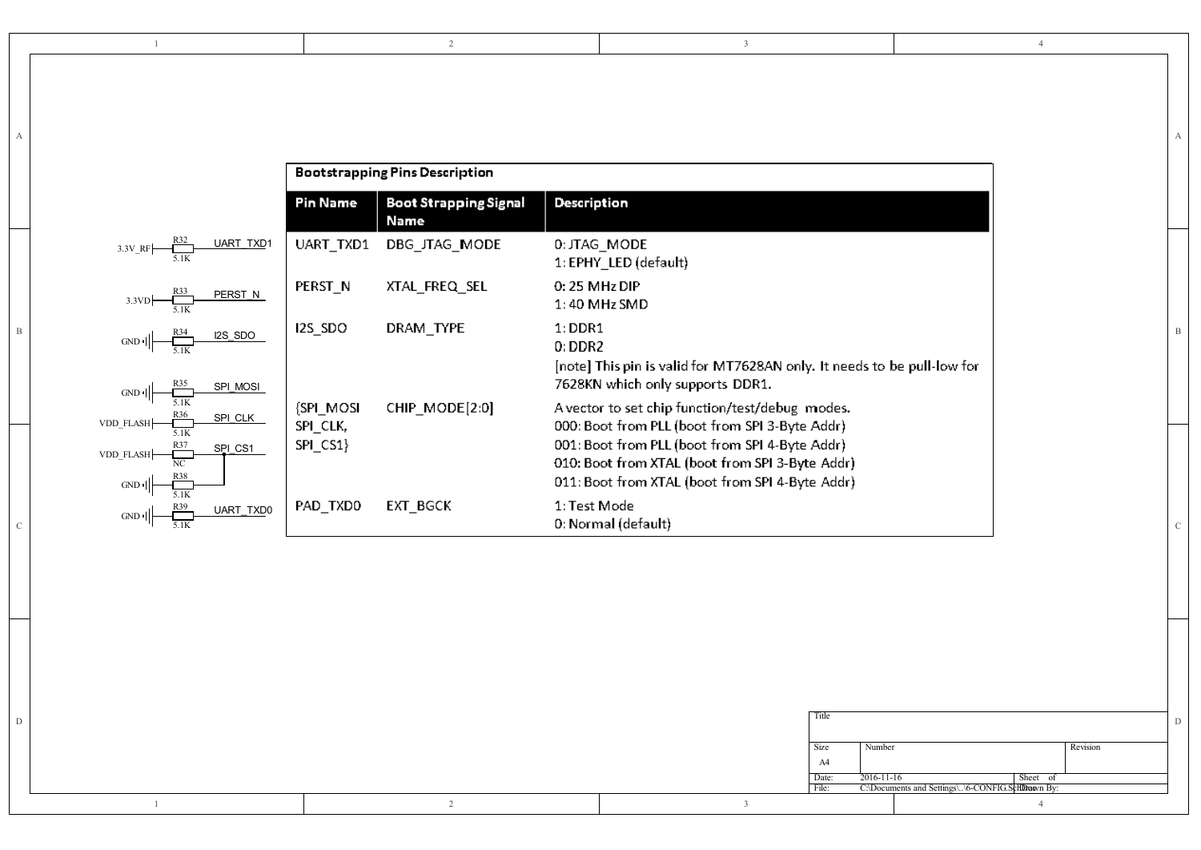|--|--|--|--|--|

A |

|                                                      |                     | <b>Bootstrapping Pins Description</b> |                                             |                                                                                                                                                                                                                                                           |
|------------------------------------------------------|---------------------|---------------------------------------|---------------------------------------------|-----------------------------------------------------------------------------------------------------------------------------------------------------------------------------------------------------------------------------------------------------------|
|                                                      |                     | <b>Pin Name</b>                       | <b>Boot Strapping Signal</b><br><b>Name</b> | <b>Description</b>                                                                                                                                                                                                                                        |
| $3.3V$ RF                                            | UART_TXD1           | UART TXD1                             | DBG_JTAG_MODE                               | 0: JTAG_MODE<br>1: EPHY_LED (default)                                                                                                                                                                                                                     |
| R33<br>3.3VD<br>5.1K                                 | PERST N             | PERST <sub>N</sub>                    | XTAL_FREQ_SEL                               | 0: 25 MHz DIP<br>$1:40$ MHz SMD                                                                                                                                                                                                                           |
| $GND$ <sup>1</sup><br>GND I                          | I2S_SDO<br>SPI MOSI | I2S_SDO                               | DRAM_TYPE                                   | $1:$ DDR1<br>$0:$ DDR2<br>[note] This pin is valid for MT7628AN only. It needs to be pull-low for<br>7628KN which only supports DDR1.                                                                                                                     |
| VDD_FLASH<br>5.1K<br>VDD FLASH-<br>NC<br>GND<br>5.1K | SPI_CLK<br>SPI CS1  | {SPI_MOSI<br>SPI_CLK,<br>SPI_CS1}     | CHIP_MODE[2:0]                              | A vector to set chip function/test/debug modes.<br>000: Boot from PLL (boot from SPI 3-Byte Addr)<br>001: Boot from PLL (boot from SPI 4-Byte Addr)<br>010: Boot from XTAL (boot from SPI 3-Byte Addr)<br>011: Boot from XTAL (boot from SPI 4-Byte Addr) |
| GND<br>5.1K                                          | UART TXD0           | PAD_TXD0                              | EXT_BGCK                                    | 1: Test Mode<br>0: Normal (default)                                                                                                                                                                                                                       |

|  |  | Title                        |                                                                |          |  |
|--|--|------------------------------|----------------------------------------------------------------|----------|--|
|  |  | Number<br>Size<br>A4         |                                                                | Revision |  |
|  |  | 2016-11-16<br>Date:<br>File: | Sheet of<br>C:\Documents and Settings\. \6-CONFIG.ScHDrawn By: |          |  |
|  |  |                              |                                                                |          |  |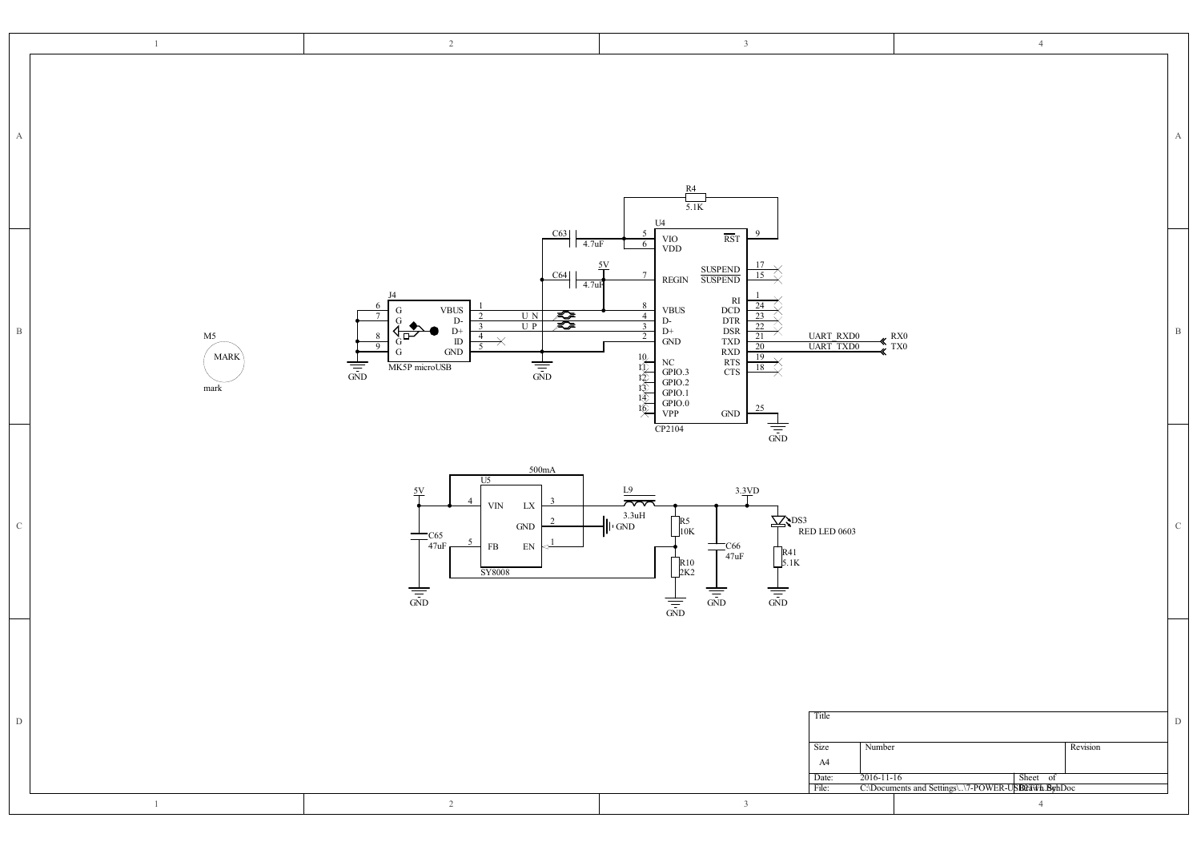| $\mathbf{1}$                                          | $2\,$                                                                                                                                                                                                                                                                                                                                                                                                                                                                                   | $\overline{3}$                                                                                                                                                                                                                                                                                                                                                                                                                                                                                                                                                                               | $\overline{4}$                                                                                                           |
|-------------------------------------------------------|-----------------------------------------------------------------------------------------------------------------------------------------------------------------------------------------------------------------------------------------------------------------------------------------------------------------------------------------------------------------------------------------------------------------------------------------------------------------------------------------|----------------------------------------------------------------------------------------------------------------------------------------------------------------------------------------------------------------------------------------------------------------------------------------------------------------------------------------------------------------------------------------------------------------------------------------------------------------------------------------------------------------------------------------------------------------------------------------------|--------------------------------------------------------------------------------------------------------------------------|
| A                                                     |                                                                                                                                                                                                                                                                                                                                                                                                                                                                                         | $\frac{R4}{5.1K}$<br>U <sub>4</sub>                                                                                                                                                                                                                                                                                                                                                                                                                                                                                                                                                          | A                                                                                                                        |
| $\, {\bf B}$<br>M5<br><b>MARK</b><br>$_{\mbox{mark}}$ | $\overline{C63}$ $\overline{)4.7uF}$<br>$\frac{5V}{1}$<br>$\frac{\text{C64}}{4.7 \text{uF}}$<br>$\begin{array}{c} \text{VBUS} \\ \text{D-} \\ \text{D+} \\ \text{ID} \\ \text{GND} \end{array}$<br>G<br>$\frac{\pi}{\sqrt{2}}$<br>$\begin{array}{c c}\n\hline\nU N \\ \hline\nU P\n\end{array}$<br>$\sqrt{\frac{1}{2}}$<br>$\overline{4}$<br>$\overline{\mathbf{X}}$<br>$\overline{9}$<br>$\overline{5}$<br>${\rm G}$<br>$\frac{1}{\sin D}$<br>$\frac{1}{\sin \theta}$<br>MK5P microUSB | $\overline{\text{RST}}$<br>$_{\mathrm{VDD}}^{\mathrm{VO}}$<br>6<br>SUSPEND<br>SUSPEND<br>$\frac{15}{2}$<br>$\operatorname{REGIN}$<br>RI<br>DCD<br>DTR<br>DSR<br>DSR<br>TXD<br>RTS<br>CTS<br>CTS<br>8<br>24<br>$_{\rm D\text{-}}^{\rm{VBUS}}$<br>$\overline{4}$<br>23<br>$\overline{\mathbf{3}}$<br>$\overline{22}$<br>$\mathrm{D}^+$<br>$\overline{2}$<br><b>UART RXD0</b><br><b>UART TXD0</b><br>21<br>$\operatorname{GND}$<br>20<br>不安心的<br>$\frac{19}{19}$<br>NC<br>GPIO.3<br>GPIO.2<br>GPIO.0<br>VPP<br>$\overline{18}$<br>25<br>$\operatorname{GND}$<br>$\frac{1}{\sqrt{25}}$<br>CP2104 | $\, {\bf B}$<br>$\frac{R}{X}$ TX <sub>0</sub>                                                                            |
| $\mathcal{C}$                                         | 500mA<br>U5<br>5V<br>$\ensuremath{\text{VIN}}$<br>${\rm L}{\rm X}$<br>$\operatorname{GND}$<br>$\frac{-C65}{47uF}$<br>╤<br>$\overline{5}$<br>$_{\rm FB}$<br>$\mathop{\rm EN}\nolimits$<br>SY8008<br>$\frac{1}{\frac{1}{\sin D}}$                                                                                                                                                                                                                                                         | $3.\underline{3VD}$<br>$\underline{L9}$<br>$\bar{z}$<br>$\frac{3.3uH}{\ln GND}$<br>$\sum_{RED \text{ LED} } (0.003)$<br>$R_1$ <sub>10K</sub><br>$T_{\text{47uF}}^{\text{C66}}$<br>$\begin{bmatrix} R41 \\ 5.1K \end{bmatrix}$<br>$\sqrt{\frac{R10}{2K2}}$<br>$\frac{1}{\sqrt{25}}$<br>$\frac{1}{\sin \theta}$<br>$\frac{1}{\sqrt{25}}$                                                                                                                                                                                                                                                       | $\,$ C                                                                                                                   |
| D<br>-1                                               | $\overline{2}$                                                                                                                                                                                                                                                                                                                                                                                                                                                                          | Title<br>Size<br>A4<br>Date:<br>File:<br>$\overline{3}$                                                                                                                                                                                                                                                                                                                                                                                                                                                                                                                                      | D<br>Revision<br>Number<br>Sheet of<br>2016-11-16<br>C:\Documents and Settings\\7-POWER-USBLaWh.ByhDoc<br>$\overline{4}$ |